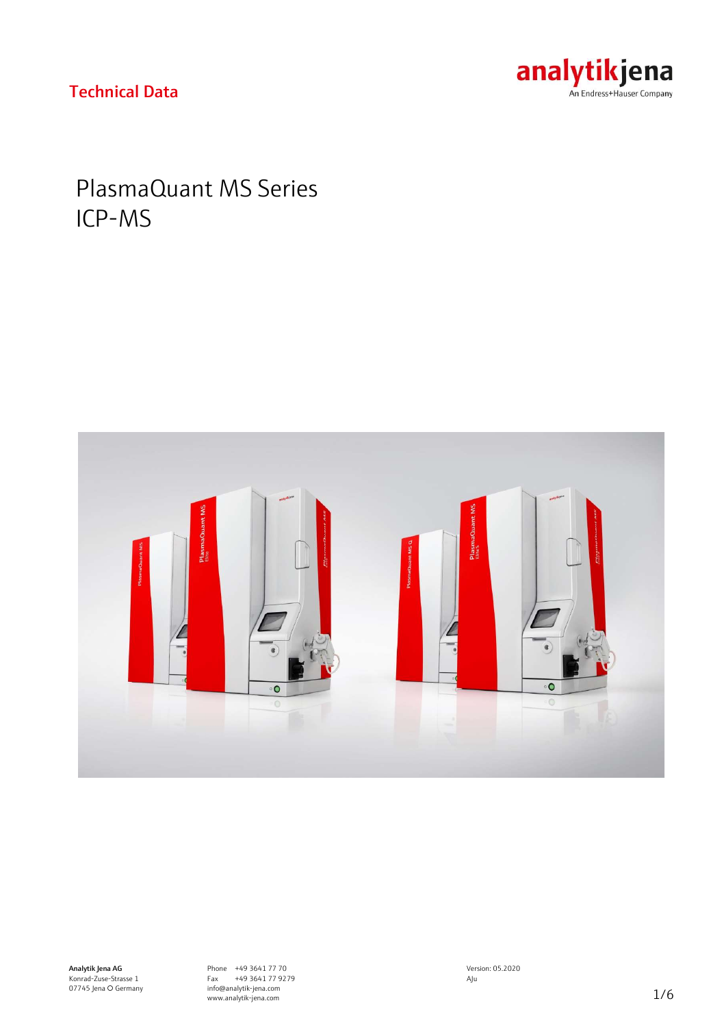# analytikjena

### Technical Data

## PlasmaQuant MS Series ICP-MS

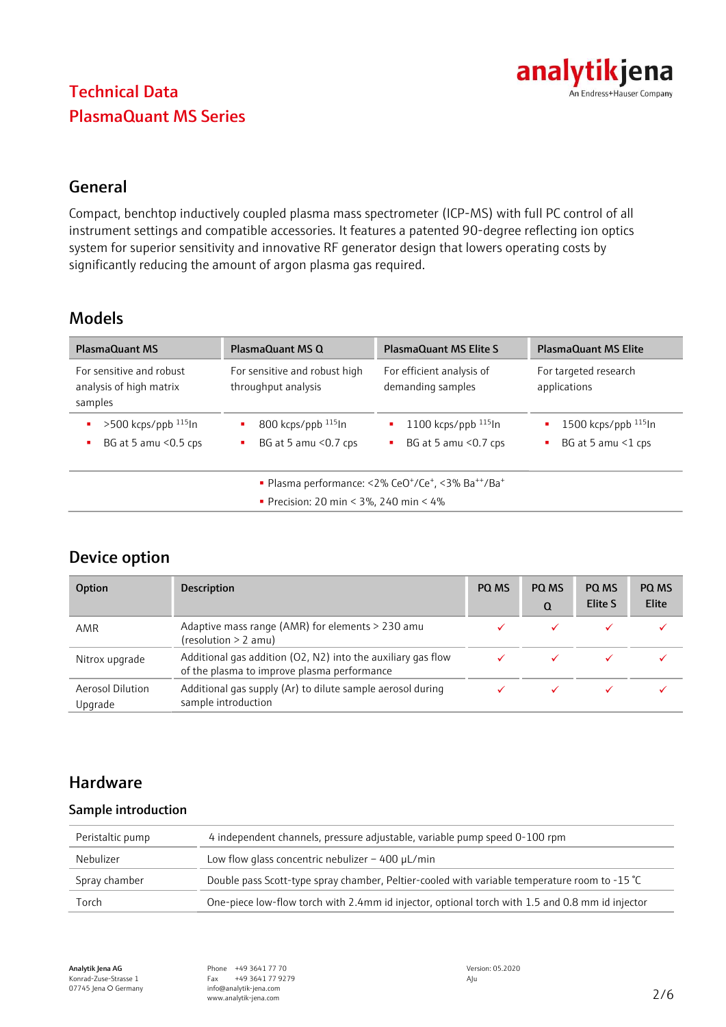

### General

Compact, benchtop inductively coupled plasma mass spectrometer (ICP-MS) with full PC control of all instrument settings and compatible accessories. It features a patented 90-degree reflecting ion optics system for superior sensitivity and innovative RF generator design that lowers operating costs by significantly reducing the amount of argon plasma gas required.

### Models

| <b>PlasmaQuant MS</b>                                          | PlasmaQuant MS Q                                            | <b>PlasmaQuant MS Elite S</b>                                                                       | <b>PlasmaQuant MS Elite</b>                           |
|----------------------------------------------------------------|-------------------------------------------------------------|-----------------------------------------------------------------------------------------------------|-------------------------------------------------------|
| For sensitive and robust<br>analysis of high matrix<br>samples | For sensitive and robust high<br>throughput analysis        | For efficient analysis of<br>demanding samples                                                      | For targeted research<br>applications                 |
| $>500$ kcps/ppb $^{115}$ ln<br>BG at 5 amu $<$ 0.5 cps         | $800$ kcps/ppb $^{115}$ ln<br>BG at 5 amu $<$ 0.7 cps<br>л. | 1100 kcps/ppb $^{115}$ In<br>BG at 5 amu $<$ 0.7 cps                                                | 1500 kcps/ppb $^{115}$ ln<br>BG at 5 amu $\leq$ 1 cps |
|                                                                | • Precision: 20 min < $3\%$ , 240 min < $4\%$               | • Plasma performance: <2% CeO <sup>+</sup> /Ce <sup>+</sup> , <3% Ba <sup>++</sup> /Ba <sup>+</sup> |                                                       |

### Device option

| Option                             | <b>Description</b>                                                                                          | PQ MS | PQ MS<br>Q | PQ MS<br><b>Elite S</b> | PQ MS<br><b>Elite</b> |
|------------------------------------|-------------------------------------------------------------------------------------------------------------|-------|------------|-------------------------|-----------------------|
| AMR                                | Adaptive mass range (AMR) for elements > 230 amu<br>(resolution > 2 amu)                                    |       |            |                         |                       |
| Nitrox upgrade                     | Additional gas addition (O2, N2) into the auxiliary gas flow<br>of the plasma to improve plasma performance |       |            |                         |                       |
| <b>Aerosol Dilution</b><br>Upgrade | Additional gas supply (Ar) to dilute sample aerosol during<br>sample introduction                           |       |            |                         |                       |

### Hardware

#### Sample introduction

| Peristaltic pump | 4 independent channels, pressure adjustable, variable pump speed 0-100 rpm                      |
|------------------|-------------------------------------------------------------------------------------------------|
| Nebulizer        | Low flow glass concentric nebulizer $-$ 400 $\mu$ L/min                                         |
| Spray chamber    | Double pass Scott-type spray chamber, Peltier-cooled with variable temperature room to -15 ℃    |
| Torch            | One-piece low-flow torch with 2.4mm id injector, optional torch with 1.5 and 0.8 mm id injector |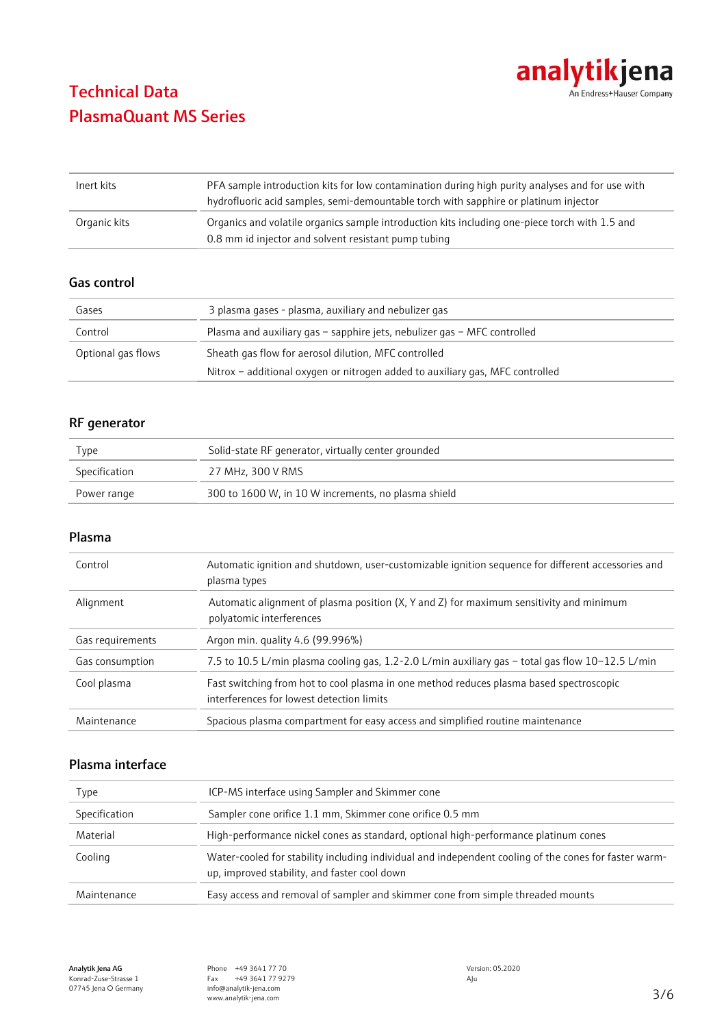

| Inert kits   | PFA sample introduction kits for low contamination during high purity analyses and for use with<br>hydrofluoric acid samples, semi-demountable torch with sapphire or platinum injector |
|--------------|-----------------------------------------------------------------------------------------------------------------------------------------------------------------------------------------|
| Organic kits | Organics and volatile organics sample introduction kits including one-piece torch with 1.5 and<br>0.8 mm id injector and solvent resistant pump tubing                                  |

#### Gas control

| Gases              | 3 plasma gases - plasma, auxiliary and nebulizer gas                          |
|--------------------|-------------------------------------------------------------------------------|
| Control            | Plasma and auxiliary gas $-$ sapphire jets, nebulizer gas $-$ MFC controlled  |
| Optional gas flows | Sheath gas flow for aerosol dilution, MFC controlled                          |
|                    | Nitrox - additional oxygen or nitrogen added to auxiliary gas, MFC controlled |

#### RF generator

| Type          | Solid-state RF generator, virtually center grounded |
|---------------|-----------------------------------------------------|
| Specification | 27 MHz. 300 V RMS                                   |
| Power range   | 300 to 1600 W, in 10 W increments, no plasma shield |

#### Plasma

| Control          | Automatic ignition and shutdown, user-customizable ignition sequence for different accessories and<br>plasma types                   |
|------------------|--------------------------------------------------------------------------------------------------------------------------------------|
| Alignment        | Automatic alignment of plasma position (X, Y and Z) for maximum sensitivity and minimum<br>polyatomic interferences                  |
| Gas requirements | Argon min. quality 4.6 (99.996%)                                                                                                     |
| Gas consumption  | 7.5 to 10.5 L/min plasma cooling gas, 1.2-2.0 L/min auxiliary gas – total gas flow 10-12.5 L/min                                     |
| Cool plasma      | Fast switching from hot to cool plasma in one method reduces plasma based spectroscopic<br>interferences for lowest detection limits |
| Maintenance      | Spacious plasma compartment for easy access and simplified routine maintenance                                                       |

#### Plasma interface

| Type          | ICP-MS interface using Sampler and Skimmer cone                                                                                                       |
|---------------|-------------------------------------------------------------------------------------------------------------------------------------------------------|
| Specification | Sampler cone orifice 1.1 mm, Skimmer cone orifice 0.5 mm                                                                                              |
| Material      | High-performance nickel cones as standard, optional high-performance platinum cones                                                                   |
| Cooling       | Water-cooled for stability including individual and independent cooling of the cones for faster warm-<br>up, improved stability, and faster cool down |
| Maintenance   | Easy access and removal of sampler and skimmer cone from simple threaded mounts                                                                       |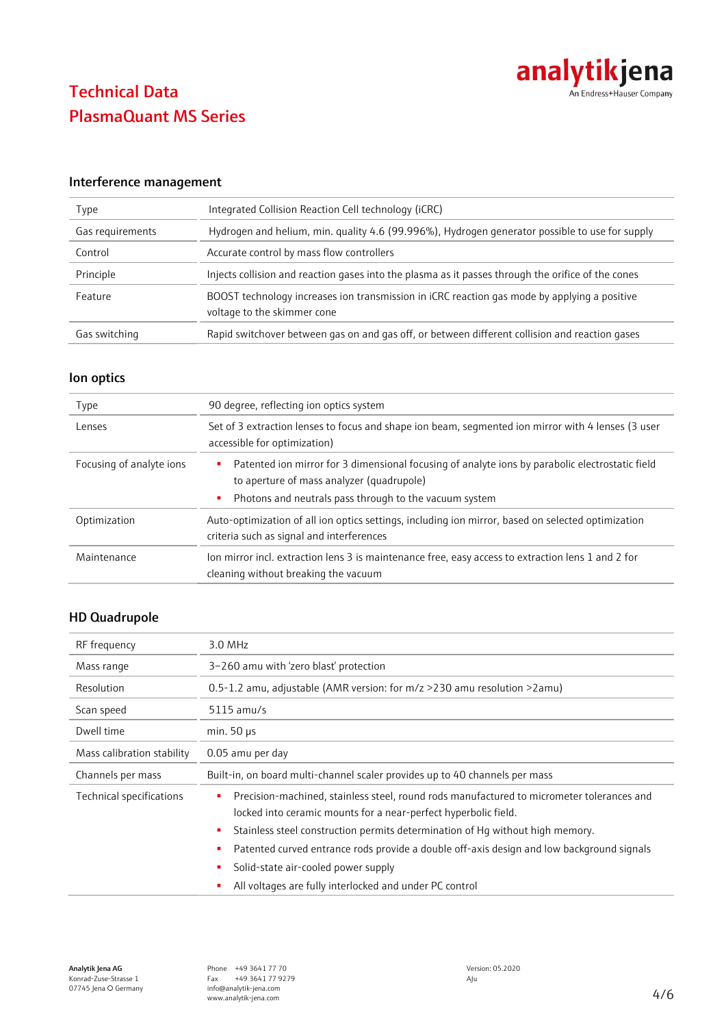

#### Interference management

| Type             | Integrated Collision Reaction Cell technology (iCRC)                                                                        |
|------------------|-----------------------------------------------------------------------------------------------------------------------------|
| Gas requirements | Hydrogen and helium, min. quality 4.6 (99.996%), Hydrogen generator possible to use for supply                              |
| Control          | Accurate control by mass flow controllers                                                                                   |
| Principle        | Injects collision and reaction gases into the plasma as it passes through the orifice of the cones                          |
| Feature          | BOOST technology increases ion transmission in iCRC reaction gas mode by applying a positive<br>voltage to the skimmer cone |
| Gas switching    | Rapid switchover between gas on and gas off, or between different collision and reaction gases                              |

#### Ion optics

| Type                     | 90 degree, reflecting ion optics system                                                                                                           |
|--------------------------|---------------------------------------------------------------------------------------------------------------------------------------------------|
| Lenses                   | Set of 3 extraction lenses to focus and shape ion beam, segmented ion mirror with 4 lenses (3 user<br>accessible for optimization)                |
| Focusing of analyte ions | Patented ion mirror for 3 dimensional focusing of analyte ions by parabolic electrostatic field<br>٠<br>to aperture of mass analyzer (quadrupole) |
|                          | Photons and neutrals pass through to the vacuum system<br>٠                                                                                       |
| Optimization             | Auto-optimization of all ion optics settings, including ion mirror, based on selected optimization<br>criteria such as signal and interferences   |
| Maintenance              | lon mirror incl. extraction lens 3 is maintenance free, easy access to extraction lens 1 and 2 for<br>cleaning without breaking the vacuum        |

#### HD Quadrupole

| RF frequency               | 3.0 MHz                                                                                                                                                           |  |
|----------------------------|-------------------------------------------------------------------------------------------------------------------------------------------------------------------|--|
| Mass range                 | 3-260 amu with 'zero blast' protection                                                                                                                            |  |
| Resolution                 | 0.5-1.2 amu, adjustable (AMR version: for m/z >230 amu resolution >2amu)                                                                                          |  |
| Scan speed                 | $5115$ amu/s                                                                                                                                                      |  |
| Dwell time                 | min. $50 \mu s$                                                                                                                                                   |  |
| Mass calibration stability | 0.05 amu per day                                                                                                                                                  |  |
| Channels per mass          | Built-in, on board multi-channel scaler provides up to 40 channels per mass                                                                                       |  |
| Technical specifications   | Precision-machined, stainless steel, round rods manufactured to micrometer tolerances and<br>٠<br>locked into ceramic mounts for a near-perfect hyperbolic field. |  |
|                            | Stainless steel construction permits determination of Hq without high memory.<br>٠                                                                                |  |
|                            | Patented curved entrance rods provide a double off-axis design and low background signals                                                                         |  |
|                            | Solid-state air-cooled power supply                                                                                                                               |  |
|                            | All voltages are fully interlocked and under PC control                                                                                                           |  |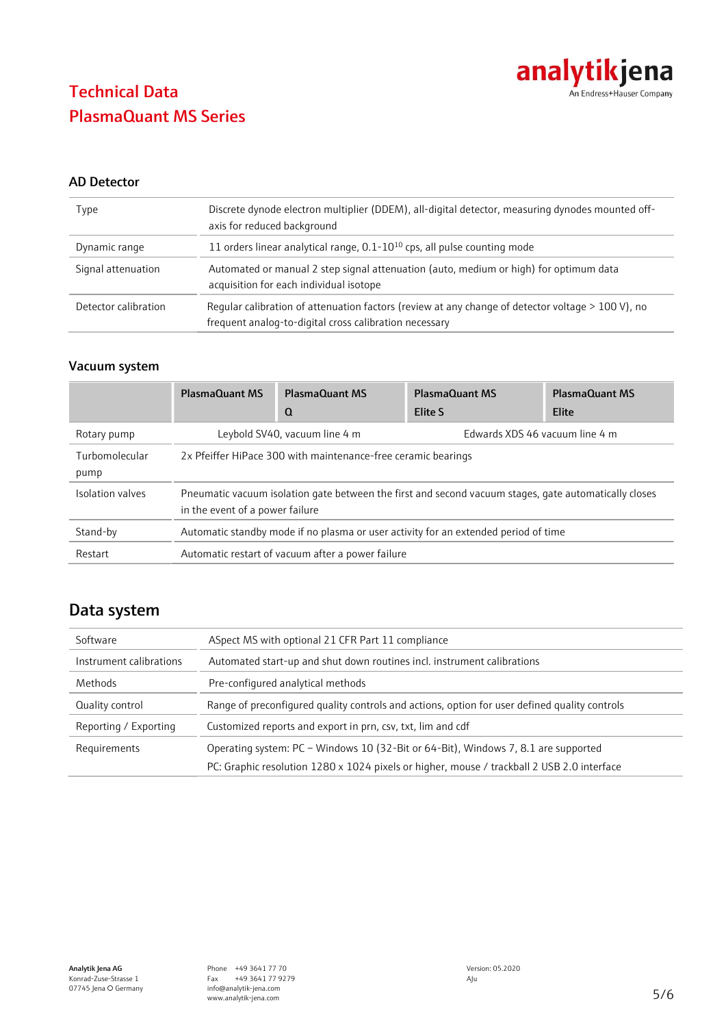

#### AD Detector

| Type                 | Discrete dynode electron multiplier (DDEM), all-digital detector, measuring dynodes mounted off-<br>axis for reduced background                             |
|----------------------|-------------------------------------------------------------------------------------------------------------------------------------------------------------|
| Dynamic range        | 11 orders linear analytical range, $0.1 - 10^{10}$ cps, all pulse counting mode                                                                             |
| Signal attenuation   | Automated or manual 2 step signal attenuation (auto, medium or high) for optimum data<br>acquisition for each individual isotope                            |
| Detector calibration | Regular calibration of attenuation factors (review at any change of detector voltage > 100 V), no<br>frequent analog-to-digital cross calibration necessary |

#### Vacuum system

|                        | <b>PlasmaQuant MS</b>                                                                                                                    | <b>PlasmaQuant MS</b> | <b>PlasmaQuant MS</b>          | <b>PlasmaQuant MS</b> |  |
|------------------------|------------------------------------------------------------------------------------------------------------------------------------------|-----------------------|--------------------------------|-----------------------|--|
|                        |                                                                                                                                          | Q                     | Elite S                        | Elite                 |  |
| Rotary pump            | Leybold SV40, vacuum line 4 m                                                                                                            |                       | Edwards XDS 46 vacuum line 4 m |                       |  |
| Turbomolecular<br>pump | 2x Pfeiffer HiPace 300 with maintenance-free ceramic bearings                                                                            |                       |                                |                       |  |
| Isolation valves       | Pneumatic vacuum isolation gate between the first and second vacuum stages, gate automatically closes<br>in the event of a power failure |                       |                                |                       |  |
| Stand-by               | Automatic standby mode if no plasma or user activity for an extended period of time                                                      |                       |                                |                       |  |
| Restart                | Automatic restart of vacuum after a power failure                                                                                        |                       |                                |                       |  |

### Data system

| Software                | ASpect MS with optional 21 CFR Part 11 compliance                                             |  |  |
|-------------------------|-----------------------------------------------------------------------------------------------|--|--|
| Instrument calibrations | Automated start-up and shut down routines incl. instrument calibrations                       |  |  |
| Methods                 | Pre-configured analytical methods                                                             |  |  |
| Quality control         | Range of preconfigured quality controls and actions, option for user defined quality controls |  |  |
| Reporting / Exporting   | Customized reports and export in prn, csv, txt, lim and cdf                                   |  |  |
| Requirements            | Operating system: PC - Windows 10 (32-Bit or 64-Bit), Windows 7, 8.1 are supported            |  |  |
|                         | PC: Graphic resolution 1280 x 1024 pixels or higher, mouse / trackball 2 USB 2.0 interface    |  |  |